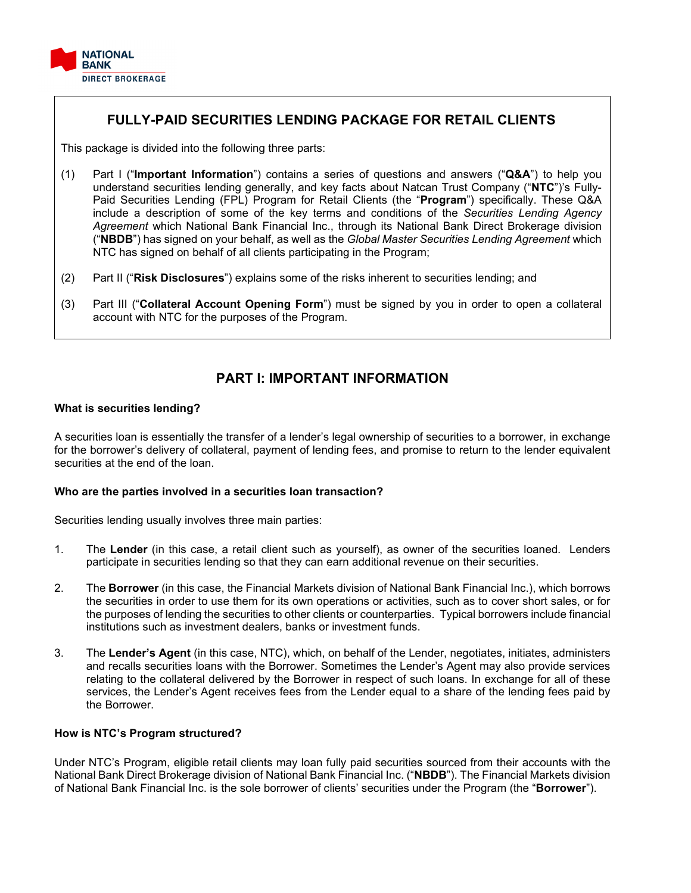

# **FULLY-PAID SECURITIES LENDING PACKAGE FOR RETAIL CLIENTS**

This package is divided into the following three parts:

- (1) Part I ("**Important Information**") contains a series of questions and answers ("**Q&A**") to help you understand securities lending generally, and key facts about Natcan Trust Company ("**NTC**")'s Fully-Paid Securities Lending (FPL) Program for Retail Clients (the "**Program**") specifically. These Q&A include a description of some of the key terms and conditions of the *Securities Lending Agency Agreement* which National Bank Financial Inc., through its National Bank Direct Brokerage division ("**NBDB**") has signed on your behalf, as well as the *Global Master Securities Lending Agreement* which NTC has signed on behalf of all clients participating in the Program;
- (2) Part II ("**Risk Disclosures**") explains some of the risks inherent to securities lending; and
- (3) Part III ("**Collateral Account Opening Form**") must be signed by you in order to open a collateral account with NTC for the purposes of the Program.

# **PART I: IMPORTANT INFORMATION**

# **What is securities lending?**

A securities loan is essentially the transfer of a lender's legal ownership of securities to a borrower, in exchange for the borrower's delivery of collateral, payment of lending fees, and promise to return to the lender equivalent securities at the end of the loan.

# **Who are the parties involved in a securities loan transaction?**

Securities lending usually involves three main parties:

- 1. The **Lender** (in this case, a retail client such as yourself), as owner of the securities loaned. Lenders participate in securities lending so that they can earn additional revenue on their securities.
- 2. The **Borrower** (in this case, the Financial Markets division of National Bank Financial Inc.), which borrows the securities in order to use them for its own operations or activities, such as to cover short sales, or for the purposes of lending the securities to other clients or counterparties. Typical borrowers include financial institutions such as investment dealers, banks or investment funds.
- 3. The **Lender's Agent** (in this case, NTC), which, on behalf of the Lender, negotiates, initiates, administers and recalls securities loans with the Borrower. Sometimes the Lender's Agent may also provide services relating to the collateral delivered by the Borrower in respect of such loans. In exchange for all of these services, the Lender's Agent receives fees from the Lender equal to a share of the lending fees paid by the Borrower.

# **How is NTC's Program structured?**

Under NTC's Program, eligible retail clients may loan fully paid securities sourced from their accounts with the National Bank Direct Brokerage division of National Bank Financial Inc. ("**NBDB**"). The Financial Markets division of National Bank Financial Inc. is the sole borrower of clients' securities under the Program (the "**Borrower**").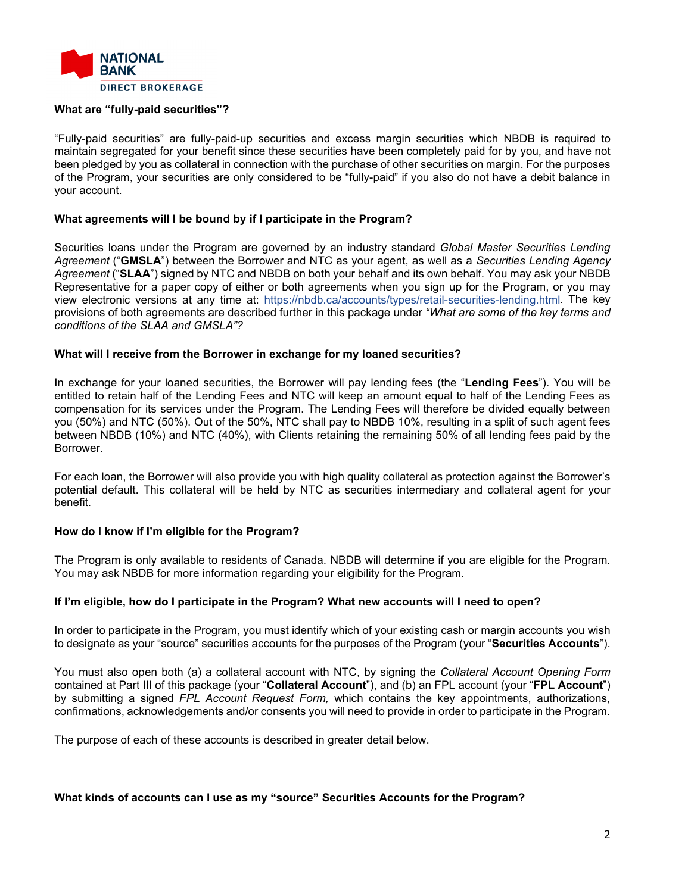

# **What are "fully-paid securities"?**

"Fully-paid securities" are fully-paid-up securities and excess margin securities which NBDB is required to maintain segregated for your benefit since these securities have been completely paid for by you, and have not been pledged by you as collateral in connection with the purchase of other securities on margin. For the purposes of the Program, your securities are only considered to be "fully-paid" if you also do not have a debit balance in your account.

# **What agreements will I be bound by if I participate in the Program?**

Securities loans under the Program are governed by an industry standard *Global Master Securities Lending Agreement* ("**GMSLA**") between the Borrower and NTC as your agent, as well as a *Securities Lending Agency Agreement* ("**SLAA**") signed by NTC and NBDB on both your behalf and its own behalf. You may ask your NBDB Representative for a paper copy of either or both agreements when you sign up for the Program, or you may view electronic versions at any time at: [https://nbdb.ca/accounts/types/retail-securities-lending.html.](https://nbdb.ca/accounts/types/retail-securities-lending.html) The key provisions of both agreements are described further in this package under *"What are some of the key terms and conditions of the SLAA and GMSLA"?*

#### **What will I receive from the Borrower in exchange for my loaned securities?**

In exchange for your loaned securities, the Borrower will pay lending fees (the "**Lending Fees**"). You will be entitled to retain half of the Lending Fees and NTC will keep an amount equal to half of the Lending Fees as compensation for its services under the Program. The Lending Fees will therefore be divided equally between you (50%) and NTC (50%). Out of the 50%, NTC shall pay to NBDB 10%, resulting in a split of such agent fees between NBDB (10%) and NTC (40%), with Clients retaining the remaining 50% of all lending fees paid by the Borrower.

For each loan, the Borrower will also provide you with high quality collateral as protection against the Borrower's potential default. This collateral will be held by NTC as securities intermediary and collateral agent for your benefit.

# **How do I know if I'm eligible for the Program?**

The Program is only available to residents of Canada. NBDB will determine if you are eligible for the Program. You may ask NBDB for more information regarding your eligibility for the Program.

#### **If I'm eligible, how do I participate in the Program? What new accounts will I need to open?**

In order to participate in the Program, you must identify which of your existing cash or margin accounts you wish to designate as your "source" securities accounts for the purposes of the Program (your "**Securities Accounts**").

You must also open both (a) a collateral account with NTC, by signing the *Collateral Account Opening Form* contained at Part III of this package (your "**Collateral Account**"), and (b) an FPL account (your "**FPL Account**") by submitting a signed *FPL Account Request Form,* which contains the key appointments, authorizations, confirmations, acknowledgements and/or consents you will need to provide in order to participate in the Program.

The purpose of each of these accounts is described in greater detail below.

#### **What kinds of accounts can I use as my "source" Securities Accounts for the Program?**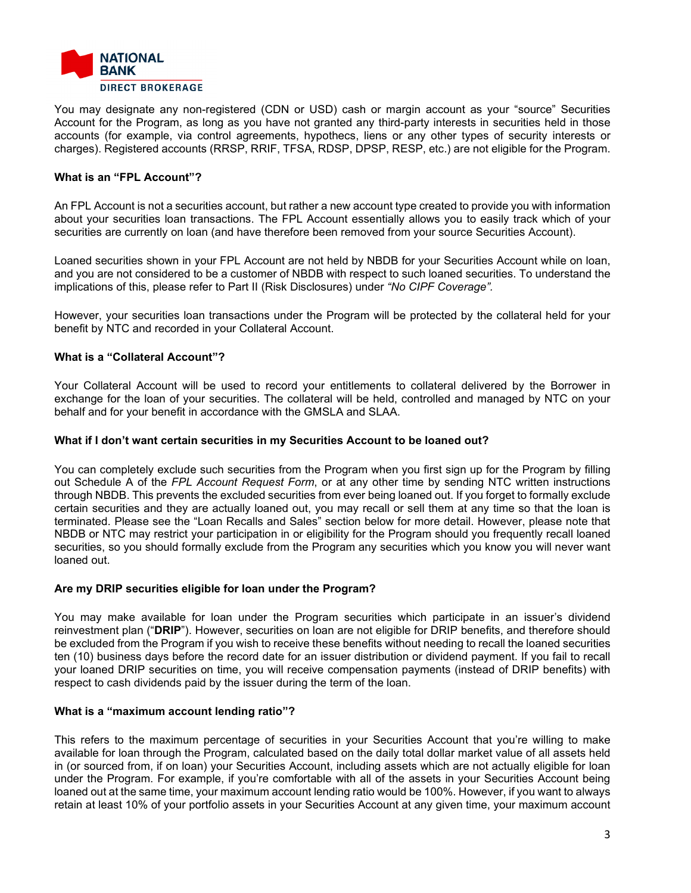

You may designate any non-registered (CDN or USD) cash or margin account as your "source" Securities Account for the Program, as long as you have not granted any third-party interests in securities held in those accounts (for example, via control agreements, hypothecs, liens or any other types of security interests or charges). Registered accounts (RRSP, RRIF, TFSA, RDSP, DPSP, RESP, etc.) are not eligible for the Program.

# **What is an "FPL Account"?**

An FPL Account is not a securities account, but rather a new account type created to provide you with information about your securities loan transactions. The FPL Account essentially allows you to easily track which of your securities are currently on loan (and have therefore been removed from your source Securities Account).

Loaned securities shown in your FPL Account are not held by NBDB for your Securities Account while on loan, and you are not considered to be a customer of NBDB with respect to such loaned securities. To understand the implications of this, please refer to Part II (Risk Disclosures) under *"No CIPF Coverage".*

However, your securities loan transactions under the Program will be protected by the collateral held for your benefit by NTC and recorded in your Collateral Account.

# **What is a "Collateral Account"?**

Your Collateral Account will be used to record your entitlements to collateral delivered by the Borrower in exchange for the loan of your securities. The collateral will be held, controlled and managed by NTC on your behalf and for your benefit in accordance with the GMSLA and SLAA.

# **What if I don't want certain securities in my Securities Account to be loaned out?**

You can completely exclude such securities from the Program when you first sign up for the Program by filling out Schedule A of the *FPL Account Request Form*, or at any other time by sending NTC written instructions through NBDB. This prevents the excluded securities from ever being loaned out. If you forget to formally exclude certain securities and they are actually loaned out, you may recall or sell them at any time so that the loan is terminated. Please see the "Loan Recalls and Sales" section below for more detail. However, please note that NBDB or NTC may restrict your participation in or eligibility for the Program should you frequently recall loaned securities, so you should formally exclude from the Program any securities which you know you will never want loaned out.

# **Are my DRIP securities eligible for loan under the Program?**

You may make available for loan under the Program securities which participate in an issuer's dividend reinvestment plan ("**DRIP**"). However, securities on loan are not eligible for DRIP benefits, and therefore should be excluded from the Program if you wish to receive these benefits without needing to recall the loaned securities ten (10) business days before the record date for an issuer distribution or dividend payment. If you fail to recall your loaned DRIP securities on time, you will receive compensation payments (instead of DRIP benefits) with respect to cash dividends paid by the issuer during the term of the loan.

# **What is a "maximum account lending ratio"?**

This refers to the maximum percentage of securities in your Securities Account that you're willing to make available for loan through the Program, calculated based on the daily total dollar market value of all assets held in (or sourced from, if on loan) your Securities Account, including assets which are not actually eligible for loan under the Program. For example, if you're comfortable with all of the assets in your Securities Account being loaned out at the same time, your maximum account lending ratio would be 100%. However, if you want to always retain at least 10% of your portfolio assets in your Securities Account at any given time, your maximum account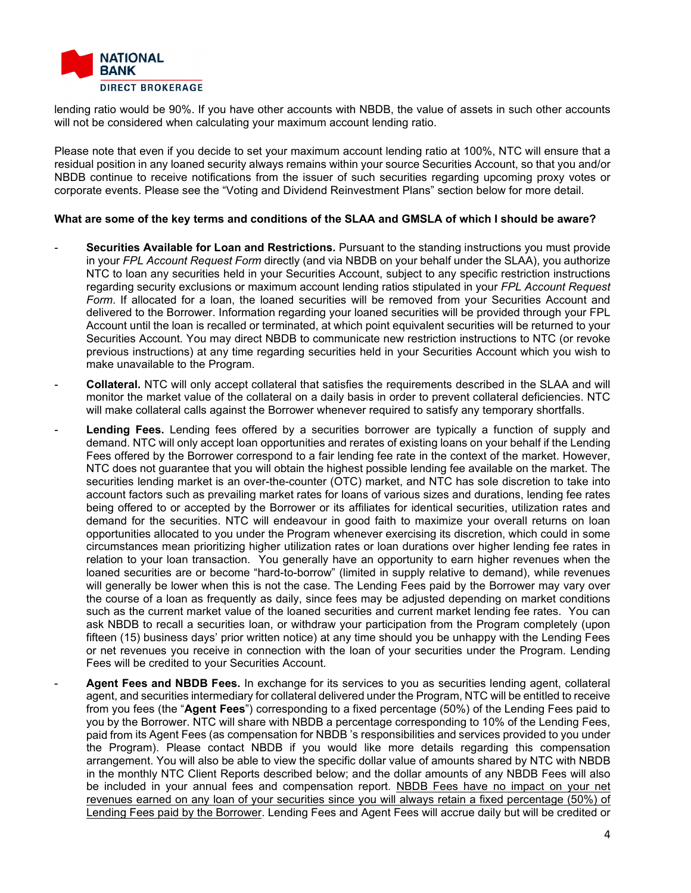

lending ratio would be 90%. If you have other accounts with NBDB, the value of assets in such other accounts will not be considered when calculating your maximum account lending ratio.

Please note that even if you decide to set your maximum account lending ratio at 100%, NTC will ensure that a residual position in any loaned security always remains within your source Securities Account, so that you and/or NBDB continue to receive notifications from the issuer of such securities regarding upcoming proxy votes or corporate events. Please see the "Voting and Dividend Reinvestment Plans" section below for more detail.

# **What are some of the key terms and conditions of the SLAA and GMSLA of which I should be aware?**

- **Securities Available for Loan and Restrictions.** Pursuant to the standing instructions you must provide in your *FPL Account Request Form* directly (and via NBDB on your behalf under the SLAA), you authorize NTC to loan any securities held in your Securities Account, subject to any specific restriction instructions regarding security exclusions or maximum account lending ratios stipulated in your *FPL Account Request*  Form. If allocated for a loan, the loaned securities will be removed from your Securities Account and delivered to the Borrower. Information regarding your loaned securities will be provided through your FPL Account until the loan is recalled or terminated, at which point equivalent securities will be returned to your Securities Account. You may direct NBDB to communicate new restriction instructions to NTC (or revoke previous instructions) at any time regarding securities held in your Securities Account which you wish to make unavailable to the Program.
- **Collateral.** NTC will only accept collateral that satisfies the requirements described in the SLAA and will monitor the market value of the collateral on a daily basis in order to prevent collateral deficiencies. NTC will make collateral calls against the Borrower whenever required to satisfy any temporary shortfalls.
- Lending Fees. Lending fees offered by a securities borrower are typically a function of supply and demand. NTC will only accept loan opportunities and rerates of existing loans on your behalf if the Lending Fees offered by the Borrower correspond to a fair lending fee rate in the context of the market. However, NTC does not guarantee that you will obtain the highest possible lending fee available on the market. The securities lending market is an over-the-counter (OTC) market, and NTC has sole discretion to take into account factors such as prevailing market rates for loans of various sizes and durations, lending fee rates being offered to or accepted by the Borrower or its affiliates for identical securities, utilization rates and demand for the securities. NTC will endeavour in good faith to maximize your overall returns on loan opportunities allocated to you under the Program whenever exercising its discretion, which could in some circumstances mean prioritizing higher utilization rates or loan durations over higher lending fee rates in relation to your loan transaction. You generally have an opportunity to earn higher revenues when the loaned securities are or become "hard-to-borrow" (limited in supply relative to demand), while revenues will generally be lower when this is not the case. The Lending Fees paid by the Borrower may vary over the course of a loan as frequently as daily, since fees may be adjusted depending on market conditions such as the current market value of the loaned securities and current market lending fee rates. You can ask NBDB to recall a securities loan, or withdraw your participation from the Program completely (upon fifteen (15) business days' prior written notice) at any time should you be unhappy with the Lending Fees or net revenues you receive in connection with the loan of your securities under the Program. Lending Fees will be credited to your Securities Account.
- **Agent Fees and NBDB Fees.** In exchange for its services to you as securities lending agent, collateral agent, and securities intermediary for collateral delivered under the Program, NTC will be entitled to receive from you fees (the "**Agent Fees**") corresponding to a fixed percentage (50%) of the Lending Fees paid to you by the Borrower. NTC will share with NBDB a percentage corresponding to 10% of the Lending Fees, paid from its Agent Fees (as compensation for NBDB 's responsibilities and services provided to you under the Program). Please contact NBDB if you would like more details regarding this compensation arrangement. You will also be able to view the specific dollar value of amounts shared by NTC with NBDB in the monthly NTC Client Reports described below; and the dollar amounts of any NBDB Fees will also be included in your annual fees and compensation report. NBDB Fees have no impact on your net revenues earned on any loan of your securities since you will always retain a fixed percentage (50%) of Lending Fees paid by the Borrower. Lending Fees and Agent Fees will accrue daily but will be credited or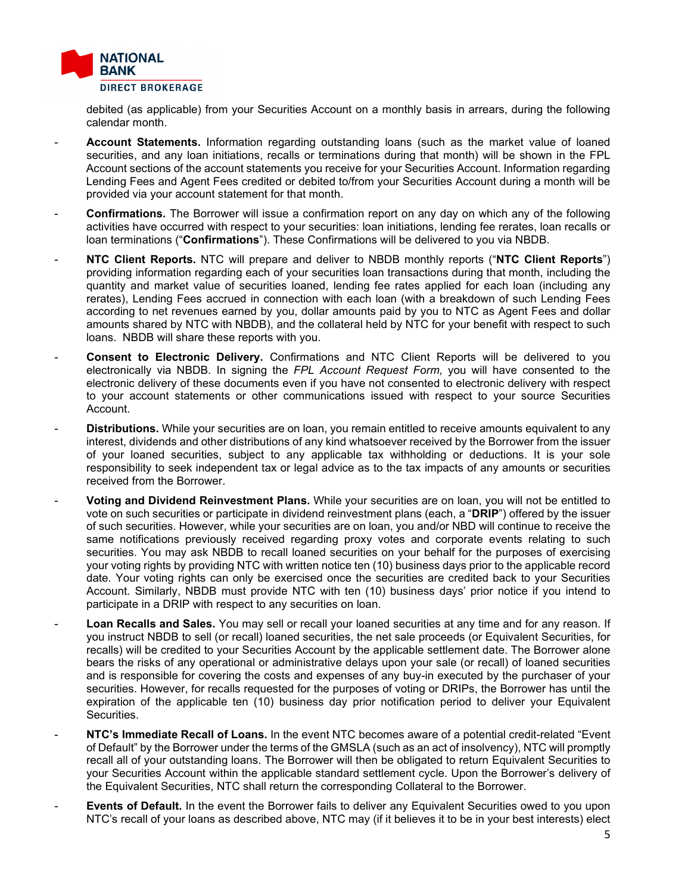

debited (as applicable) from your Securities Account on a monthly basis in arrears, during the following calendar month.

- Account Statements. Information regarding outstanding loans (such as the market value of loaned securities, and any loan initiations, recalls or terminations during that month) will be shown in the FPL Account sections of the account statements you receive for your Securities Account. Information regarding Lending Fees and Agent Fees credited or debited to/from your Securities Account during a month will be provided via your account statement for that month.
- **Confirmations.** The Borrower will issue a confirmation report on any day on which any of the following activities have occurred with respect to your securities: loan initiations, lending fee rerates, loan recalls or loan terminations ("**Confirmations**"). These Confirmations will be delivered to you via NBDB.
- **NTC Client Reports.** NTC will prepare and deliver to NBDB monthly reports ("**NTC Client Reports**") providing information regarding each of your securities loan transactions during that month, including the quantity and market value of securities loaned, lending fee rates applied for each loan (including any rerates), Lending Fees accrued in connection with each loan (with a breakdown of such Lending Fees according to net revenues earned by you, dollar amounts paid by you to NTC as Agent Fees and dollar amounts shared by NTC with NBDB), and the collateral held by NTC for your benefit with respect to such loans. NBDB will share these reports with you.
- **Consent to Electronic Delivery.** Confirmations and NTC Client Reports will be delivered to you electronically via NBDB. In signing the *FPL Account Request Form,* you will have consented to the electronic delivery of these documents even if you have not consented to electronic delivery with respect to your account statements or other communications issued with respect to your source Securities Account.
- **Distributions.** While your securities are on loan, you remain entitled to receive amounts equivalent to any interest, dividends and other distributions of any kind whatsoever received by the Borrower from the issuer of your loaned securities, subject to any applicable tax withholding or deductions. It is your sole responsibility to seek independent tax or legal advice as to the tax impacts of any amounts or securities received from the Borrower.
- **Voting and Dividend Reinvestment Plans.** While your securities are on loan, you will not be entitled to vote on such securities or participate in dividend reinvestment plans (each, a "**DRIP**") offered by the issuer of such securities. However, while your securities are on loan, you and/or NBD will continue to receive the same notifications previously received regarding proxy votes and corporate events relating to such securities. You may ask NBDB to recall loaned securities on your behalf for the purposes of exercising your voting rights by providing NTC with written notice ten (10) business days prior to the applicable record date. Your voting rights can only be exercised once the securities are credited back to your Securities Account. Similarly, NBDB must provide NTC with ten (10) business days' prior notice if you intend to participate in a DRIP with respect to any securities on loan.
- Loan Recalls and Sales. You may sell or recall your loaned securities at any time and for any reason. If you instruct NBDB to sell (or recall) loaned securities, the net sale proceeds (or Equivalent Securities, for recalls) will be credited to your Securities Account by the applicable settlement date. The Borrower alone bears the risks of any operational or administrative delays upon your sale (or recall) of loaned securities and is responsible for covering the costs and expenses of any buy-in executed by the purchaser of your securities. However, for recalls requested for the purposes of voting or DRIPs, the Borrower has until the expiration of the applicable ten (10) business day prior notification period to deliver your Equivalent Securities.
- **NTC's Immediate Recall of Loans.** In the event NTC becomes aware of a potential credit-related "Event" of Default" by the Borrower under the terms of the GMSLA (such as an act of insolvency), NTC will promptly recall all of your outstanding loans. The Borrower will then be obligated to return Equivalent Securities to your Securities Account within the applicable standard settlement cycle. Upon the Borrower's delivery of the Equivalent Securities, NTC shall return the corresponding Collateral to the Borrower.
- **Events of Default.** In the event the Borrower fails to deliver any Equivalent Securities owed to you upon NTC's recall of your loans as described above, NTC may (if it believes it to be in your best interests) elect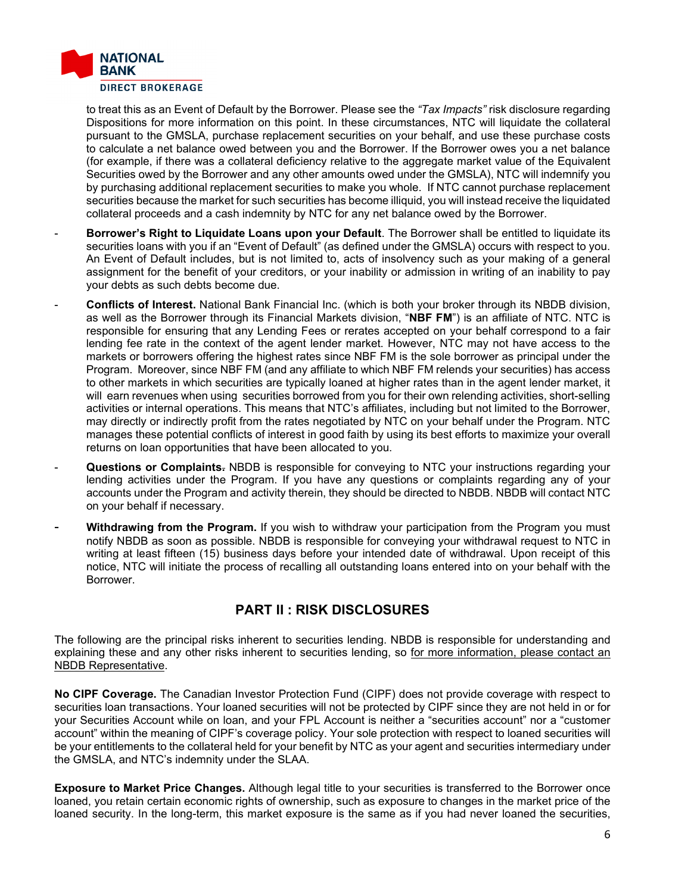

to treat this as an Event of Default by the Borrower. Please see the *"Tax Impacts"* risk disclosure regarding Dispositions for more information on this point. In these circumstances, NTC will liquidate the collateral pursuant to the GMSLA, purchase replacement securities on your behalf, and use these purchase costs to calculate a net balance owed between you and the Borrower. If the Borrower owes you a net balance (for example, if there was a collateral deficiency relative to the aggregate market value of the Equivalent Securities owed by the Borrower and any other amounts owed under the GMSLA), NTC will indemnify you by purchasing additional replacement securities to make you whole. If NTC cannot purchase replacement securities because the market for such securities has become illiquid, you will instead receive the liquidated collateral proceeds and a cash indemnity by NTC for any net balance owed by the Borrower.

- **Borrower's Right to Liquidate Loans upon your Default**. The Borrower shall be entitled to liquidate its securities loans with you if an "Event of Default" (as defined under the GMSLA) occurs with respect to you. An Event of Default includes, but is not limited to, acts of insolvency such as your making of a general assignment for the benefit of your creditors, or your inability or admission in writing of an inability to pay your debts as such debts become due.
- **Conflicts of Interest.** National Bank Financial Inc. (which is both your broker through its NBDB division, as well as the Borrower through its Financial Markets division, "**NBF FM**") is an affiliate of NTC. NTC is responsible for ensuring that any Lending Fees or rerates accepted on your behalf correspond to a fair lending fee rate in the context of the agent lender market. However, NTC may not have access to the markets or borrowers offering the highest rates since NBF FM is the sole borrower as principal under the Program. Moreover, since NBF FM (and any affiliate to which NBF FM relends your securities) has access to other markets in which securities are typically loaned at higher rates than in the agent lender market, it will earn revenues when using securities borrowed from you for their own relending activities, short-selling activities or internal operations. This means that NTC's affiliates, including but not limited to the Borrower, may directly or indirectly profit from the rates negotiated by NTC on your behalf under the Program. NTC manages these potential conflicts of interest in good faith by using its best efforts to maximize your overall returns on loan opportunities that have been allocated to you.
- **Questions or Complaints.** NBDB is responsible for conveying to NTC your instructions regarding your lending activities under the Program. If you have any questions or complaints regarding any of your accounts under the Program and activity therein, they should be directed to NBDB. NBDB will contact NTC on your behalf if necessary.
- Withdrawing from the Program. If you wish to withdraw your participation from the Program you must notify NBDB as soon as possible. NBDB is responsible for conveying your withdrawal request to NTC in writing at least fifteen (15) business days before your intended date of withdrawal. Upon receipt of this notice, NTC will initiate the process of recalling all outstanding loans entered into on your behalf with the Borrower.

# **PART II : RISK DISCLOSURES**

The following are the principal risks inherent to securities lending. NBDB is responsible for understanding and explaining these and any other risks inherent to securities lending, so for more information, please contact an NBDB Representative.

**No CIPF Coverage.** The Canadian Investor Protection Fund (CIPF) does not provide coverage with respect to securities loan transactions. Your loaned securities will not be protected by CIPF since they are not held in or for your Securities Account while on loan, and your FPL Account is neither a "securities account" nor a "customer account" within the meaning of CIPF's coverage policy. Your sole protection with respect to loaned securities will be your entitlements to the collateral held for your benefit by NTC as your agent and securities intermediary under the GMSLA, and NTC's indemnity under the SLAA.

**Exposure to Market Price Changes.** Although legal title to your securities is transferred to the Borrower once loaned, you retain certain economic rights of ownership, such as exposure to changes in the market price of the loaned security. In the long-term, this market exposure is the same as if you had never loaned the securities,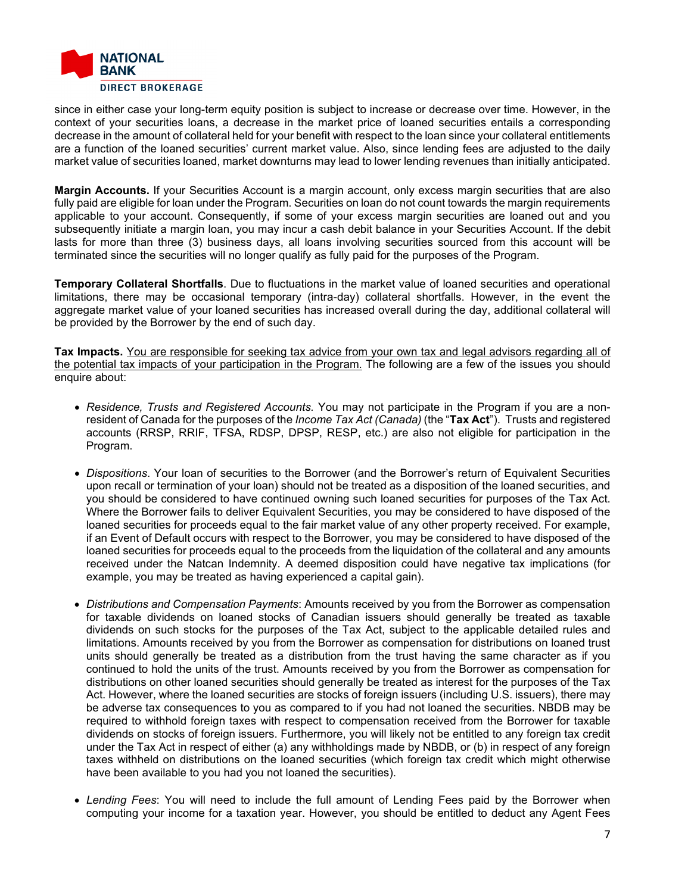

since in either case your long-term equity position is subject to increase or decrease over time. However, in the context of your securities loans, a decrease in the market price of loaned securities entails a corresponding decrease in the amount of collateral held for your benefit with respect to the loan since your collateral entitlements are a function of the loaned securities' current market value. Also, since lending fees are adjusted to the daily market value of securities loaned, market downturns may lead to lower lending revenues than initially anticipated.

**Margin Accounts.** If your Securities Account is a margin account, only excess margin securities that are also fully paid are eligible for loan under the Program. Securities on loan do not count towards the margin requirements applicable to your account. Consequently, if some of your excess margin securities are loaned out and you subsequently initiate a margin loan, you may incur a cash debit balance in your Securities Account. If the debit lasts for more than three (3) business days, all loans involving securities sourced from this account will be terminated since the securities will no longer qualify as fully paid for the purposes of the Program.

**Temporary Collateral Shortfalls**. Due to fluctuations in the market value of loaned securities and operational limitations, there may be occasional temporary (intra-day) collateral shortfalls. However, in the event the aggregate market value of your loaned securities has increased overall during the day, additional collateral will be provided by the Borrower by the end of such day.

**Tax Impacts.** You are responsible for seeking tax advice from your own tax and legal advisors regarding all of the potential tax impacts of your participation in the Program. The following are a few of the issues you should enquire about:

- *Residence, Trusts and Registered Accounts.* You may not participate in the Program if you are a nonresident of Canada for the purposes of the *Income Tax Act (Canada)* (the "**Tax Act**"). Trusts and registered accounts (RRSP, RRIF, TFSA, RDSP, DPSP, RESP, etc.) are also not eligible for participation in the Program.
- *Dispositions*. Your loan of securities to the Borrower (and the Borrower's return of Equivalent Securities upon recall or termination of your loan) should not be treated as a disposition of the loaned securities, and you should be considered to have continued owning such loaned securities for purposes of the Tax Act. Where the Borrower fails to deliver Equivalent Securities, you may be considered to have disposed of the loaned securities for proceeds equal to the fair market value of any other property received. For example, if an Event of Default occurs with respect to the Borrower, you may be considered to have disposed of the loaned securities for proceeds equal to the proceeds from the liquidation of the collateral and any amounts received under the Natcan Indemnity. A deemed disposition could have negative tax implications (for example, you may be treated as having experienced a capital gain).
- *Distributions and Compensation Payments*: Amounts received by you from the Borrower as compensation for taxable dividends on loaned stocks of Canadian issuers should generally be treated as taxable dividends on such stocks for the purposes of the Tax Act, subject to the applicable detailed rules and limitations. Amounts received by you from the Borrower as compensation for distributions on loaned trust units should generally be treated as a distribution from the trust having the same character as if you continued to hold the units of the trust. Amounts received by you from the Borrower as compensation for distributions on other loaned securities should generally be treated as interest for the purposes of the Tax Act. However, where the loaned securities are stocks of foreign issuers (including U.S. issuers), there may be adverse tax consequences to you as compared to if you had not loaned the securities. NBDB may be required to withhold foreign taxes with respect to compensation received from the Borrower for taxable dividends on stocks of foreign issuers. Furthermore, you will likely not be entitled to any foreign tax credit under the Tax Act in respect of either (a) any withholdings made by NBDB, or (b) in respect of any foreign taxes withheld on distributions on the loaned securities (which foreign tax credit which might otherwise have been available to you had you not loaned the securities).
- *Lending Fees*: You will need to include the full amount of Lending Fees paid by the Borrower when computing your income for a taxation year. However, you should be entitled to deduct any Agent Fees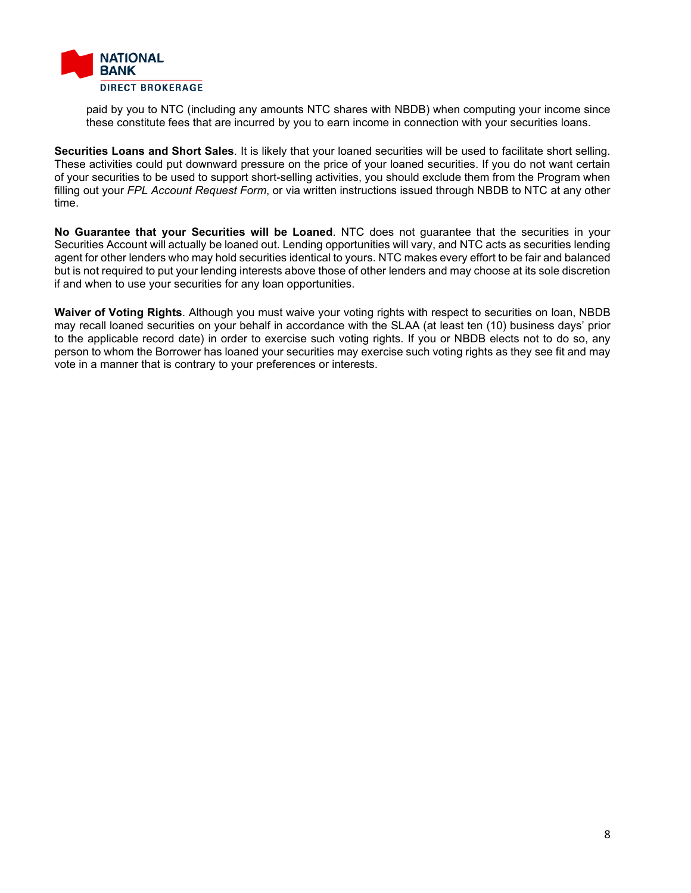

paid by you to NTC (including any amounts NTC shares with NBDB) when computing your income since these constitute fees that are incurred by you to earn income in connection with your securities loans.

**Securities Loans and Short Sales**. It is likely that your loaned securities will be used to facilitate short selling. These activities could put downward pressure on the price of your loaned securities. If you do not want certain of your securities to be used to support short-selling activities, you should exclude them from the Program when filling out your *FPL Account Request Form*, or via written instructions issued through NBDB to NTC at any other time.

**No Guarantee that your Securities will be Loaned**. NTC does not guarantee that the securities in your Securities Account will actually be loaned out. Lending opportunities will vary, and NTC acts as securities lending agent for other lenders who may hold securities identical to yours. NTC makes every effort to be fair and balanced but is not required to put your lending interests above those of other lenders and may choose at its sole discretion if and when to use your securities for any loan opportunities.

**Waiver of Voting Rights**. Although you must waive your voting rights with respect to securities on loan, NBDB may recall loaned securities on your behalf in accordance with the SLAA (at least ten (10) business days' prior to the applicable record date) in order to exercise such voting rights. If you or NBDB elects not to do so, any person to whom the Borrower has loaned your securities may exercise such voting rights as they see fit and may vote in a manner that is contrary to your preferences or interests.